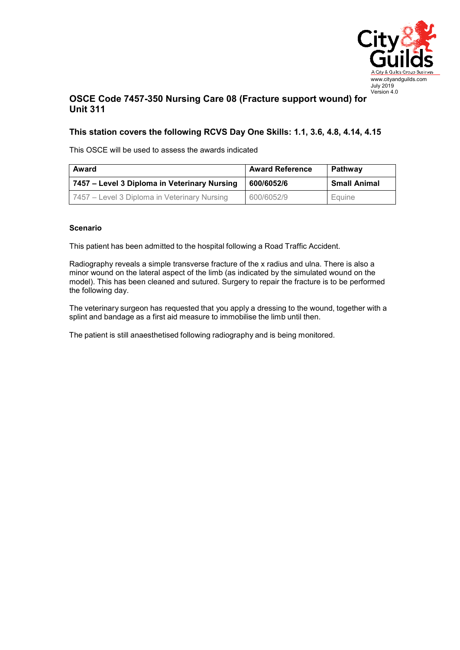

## **OSCE Code 7457-350 Nursing Care 08 (Fracture support wound) for Unit 311**

## **This station covers the following RCVS Day One Skills: 1.1, 3.6, 4.8, 4.14, 4.15**

This OSCE will be used to assess the awards indicated

| Award                                        | <b>Award Reference</b> | <b>Pathway</b>      |
|----------------------------------------------|------------------------|---------------------|
| 7457 – Level 3 Diploma in Veterinary Nursing | 600/6052/6             | <b>Small Animal</b> |
| 7457 – Level 3 Diploma in Veterinary Nursing | 600/6052/9             | Equine              |

## **Scenario**

This patient has been admitted to the hospital following a Road Traffic Accident.

Radiography reveals a simple transverse fracture of the x radius and ulna. There is also a minor wound on the lateral aspect of the limb (as indicated by the simulated wound on the model). This has been cleaned and sutured. Surgery to repair the fracture is to be performed the following day.

The veterinary surgeon has requested that you apply a dressing to the wound, together with a splint and bandage as a first aid measure to immobilise the limb until then.

The patient is still anaesthetised following radiography and is being monitored.